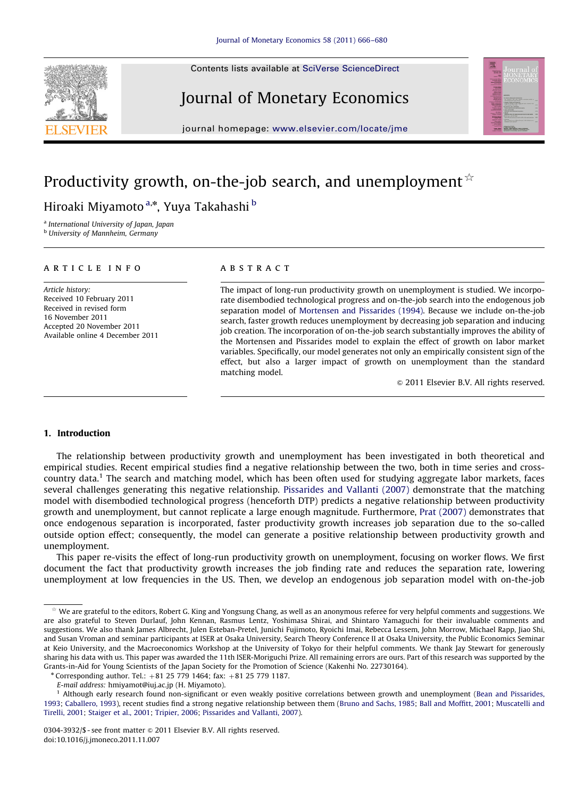Contents lists available at [SciVerse ScienceDirect](www.elsevier.com/locate/jme)





## Productivity growth, on-the-job search, and unemployment  $\dot{x}$

### Hiroaki Miyamoto <sup>a,</sup>\*, Yuya Takahashi <sup>b</sup>

<sup>a</sup> International University of Japan, Japan **b University of Mannheim, Germany** 

#### article info

Article history: Received 10 February 2011 Received in revised form 16 November 2011 Accepted 20 November 2011 Available online 4 December 2011

#### **ABSTRACT**

The impact of long-run productivity growth on unemployment is studied. We incorporate disembodied technological progress and on-the-job search into the endogenous job separation model of [Mortensen and Pissarides \(1994\).](#page--1-0) Because we include on-the-job search, faster growth reduces unemployment by decreasing job separation and inducing job creation. The incorporation of on-the-job search substantially improves the ability of the Mortensen and Pissarides model to explain the effect of growth on labor market variables. Specifically, our model generates not only an empirically consistent sign of the effect, but also a larger impact of growth on unemployment than the standard matching model.

 $\odot$  2011 Elsevier B.V. All rights reserved.

#### 1. Introduction

The relationship between productivity growth and unemployment has been investigated in both theoretical and empirical studies. Recent empirical studies find a negative relationship between the two, both in time series and crosscountry data.<sup>1</sup> The search and matching model, which has been often used for studying aggregate labor markets, faces several challenges generating this negative relationship. [Pissarides and Vallanti \(2007\)](#page--1-0) demonstrate that the matching model with disembodied technological progress (henceforth DTP) predicts a negative relationship between productivity growth and unemployment, but cannot replicate a large enough magnitude. Furthermore, [Prat \(2007\)](#page--1-0) demonstrates that once endogenous separation is incorporated, faster productivity growth increases job separation due to the so-called outside option effect; consequently, the model can generate a positive relationship between productivity growth and unemployment.

This paper re-visits the effect of long-run productivity growth on unemployment, focusing on worker flows. We first document the fact that productivity growth increases the job finding rate and reduces the separation rate, lowering unemployment at low frequencies in the US. Then, we develop an endogenous job separation model with on-the-job

 $C$  Corresponding author. Tel.:  $+81$  25 779 1464; fax:  $+81$  25 779 1187.

E-mail address: [hmiyamot@iuj.ac.jp \(H. Miyamoto\).](mailto:hmiyamot@iuj.ac.jp)

<sup>1</sup> Although early research found non-significant or even weakly positive correlations between growth and unemployment ([Bean and Pissarides,](#page--1-0) [1993](#page--1-0); [Caballero, 1993](#page--1-0)), recent studies find a strong negative relationship between them [\(Bruno and Sachs, 1985](#page--1-0); [Ball and Moffitt, 2001;](#page--1-0) [Muscatelli and](#page--1-0) [Tirelli, 2001;](#page--1-0) [Staiger et al., 2001](#page--1-0); [Tripier, 2006](#page--1-0); [Pissarides and Vallanti, 2007\)](#page--1-0).

0304-3932/\$ - see front matter  $\odot$  2011 Elsevier B.V. All rights reserved. doi:[10.1016/j.jmoneco.2011.11.007](dx.doi.org/10.1016/j.jmoneco.2011.11.007)



 $*$  We are grateful to the editors, Robert G. King and Yongsung Chang, as well as an anonymous referee for very helpful comments and suggestions. We are also grateful to Steven Durlauf, John Kennan, Rasmus Lentz, Yoshimasa Shirai, and Shintaro Yamaguchi for their invaluable comments and suggestions. We also thank James Albrecht, Julen Esteban-Pretel, Junichi Fujimoto, Ryoichi Imai, Rebecca Lessem, John Morrow, Michael Rapp, Jiao Shi, and Susan Vroman and seminar participants at ISER at Osaka University, Search Theory Conference II at Osaka University, the Public Economics Seminar at Keio University, and the Macroeconomics Workshop at the University of Tokyo for their helpful comments. We thank Jay Stewart for generously sharing his data with us. This paper was awarded the 11th ISER-Moriguchi Prize. All remaining errors are ours. Part of this research was supported by the Grants-in-Aid for Young Scientists of the Japan Society for the Promotion of Science (Kakenhi No. 22730164).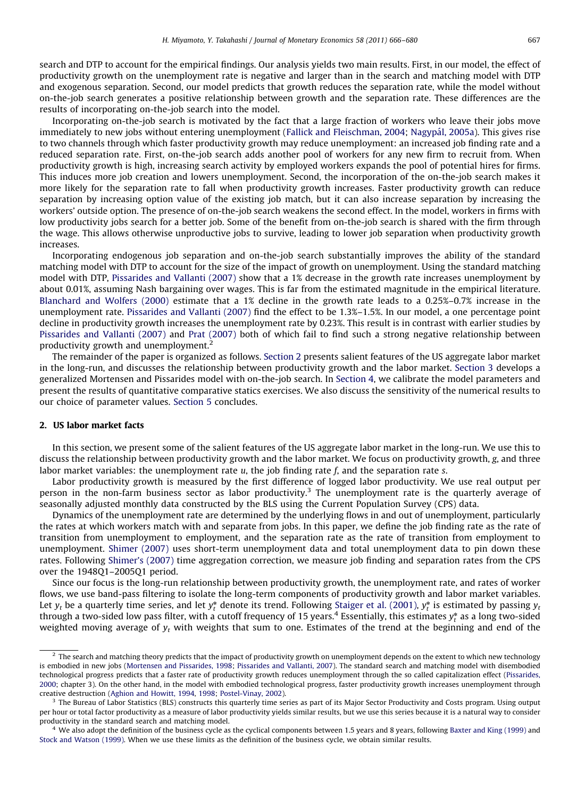search and DTP to account for the empirical findings. Our analysis yields two main results. First, in our model, the effect of productivity growth on the unemployment rate is negative and larger than in the search and matching model with DTP and exogenous separation. Second, our model predicts that growth reduces the separation rate, while the model without on-the-job search generates a positive relationship between growth and the separation rate. These differences are the results of incorporating on-the-job search into the model.

Incorporating on-the-job search is motivated by the fact that a large fraction of workers who leave their jobs move immediately to new jobs without entering unemployment ([Fallick and Fleischman, 2004](#page--1-0); Nagypál, 2005a). This gives rise to two channels through which faster productivity growth may reduce unemployment: an increased job finding rate and a reduced separation rate. First, on-the-job search adds another pool of workers for any new firm to recruit from. When productivity growth is high, increasing search activity by employed workers expands the pool of potential hires for firms. This induces more job creation and lowers unemployment. Second, the incorporation of the on-the-job search makes it more likely for the separation rate to fall when productivity growth increases. Faster productivity growth can reduce separation by increasing option value of the existing job match, but it can also increase separation by increasing the workers' outside option. The presence of on-the-job search weakens the second effect. In the model, workers in firms with low productivity jobs search for a better job. Some of the benefit from on-the-job search is shared with the firm through the wage. This allows otherwise unproductive jobs to survive, leading to lower job separation when productivity growth increases.

Incorporating endogenous job separation and on-the-job search substantially improves the ability of the standard matching model with DTP to account for the size of the impact of growth on unemployment. Using the standard matching model with DTP, [Pissarides and Vallanti \(2007\)](#page--1-0) show that a 1% decrease in the growth rate increases unemployment by about 0.01%, assuming Nash bargaining over wages. This is far from the estimated magnitude in the empirical literature. [Blanchard and Wolfers \(2000\)](#page--1-0) estimate that a 1% decline in the growth rate leads to a 0.25%–0.7% increase in the unemployment rate. [Pissarides and Vallanti \(2007\)](#page--1-0) find the effect to be 1.3%–1.5%. In our model, a one percentage point decline in productivity growth increases the unemployment rate by 0.23%. This result is in contrast with earlier studies by [Pissarides and Vallanti \(2007\)](#page--1-0) and [Prat \(2007\)](#page--1-0) both of which fail to find such a strong negative relationship between productivity growth and unemployment.<sup>2</sup>

The remainder of the paper is organized as follows. Section 2 presents salient features of the US aggregate labor market in the long-run, and discusses the relationship between productivity growth and the labor market. [Section 3](#page--1-0) develops a generalized Mortensen and Pissarides model with on-the-job search. In [Section 4,](#page--1-0) we calibrate the model parameters and present the results of quantitative comparative statics exercises. We also discuss the sensitivity of the numerical results to our choice of parameter values. [Section 5](#page--1-0) concludes.

#### 2. US labor market facts

In this section, we present some of the salient features of the US aggregate labor market in the long-run. We use this to discuss the relationship between productivity growth and the labor market. We focus on productivity growth, g, and three labor market variables: the unemployment rate  $u$ , the job finding rate  $f$ , and the separation rate  $s$ .

Labor productivity growth is measured by the first difference of logged labor productivity. We use real output per person in the non-farm business sector as labor productivity. $3$  The unemployment rate is the quarterly average of seasonally adjusted monthly data constructed by the BLS using the Current Population Survey (CPS) data.

Dynamics of the unemployment rate are determined by the underlying flows in and out of unemployment, particularly the rates at which workers match with and separate from jobs. In this paper, we define the job finding rate as the rate of transition from unemployment to employment, and the separation rate as the rate of transition from employment to unemployment. [Shimer \(2007\)](#page--1-0) uses short-term unemployment data and total unemployment data to pin down these rates. Following [Shimer's \(2007\)](#page--1-0) time aggregation correction, we measure job finding and separation rates from the CPS over the 1948Q1–2005Q1 period.

Since our focus is the long-run relationship between productivity growth, the unemployment rate, and rates of worker flows, we use band-pass filtering to isolate the long-term components of productivity growth and labor market variables. Let  $y_t$  be a quarterly time series, and let  $y_t^*$  denote its trend. Following [Staiger et al. \(2001\),](#page--1-0)  $y_t^*$  is estimated by passing  $y_t$ through a two-sided low pass filter, with a cutoff frequency of 15 years.<sup>4</sup> Essentially, this estimates  $y_t^*$  as a long two-sided weighted moving average of  $y_t$  with weights that sum to one. Estimates of the trend at the beginning and end of the

 $<sup>2</sup>$  The search and matching theory predicts that the impact of productivity growth on unemployment depends on the extent to which new technology</sup> is embodied in new jobs ([Mortensen and Pissarides, 1998](#page--1-0); [Pissarides and Vallanti, 2007\)](#page--1-0). The standard search and matching model with disembodied technological progress predicts that a faster rate of productivity growth reduces unemployment through the so called capitalization effect [\(Pissarides,](#page--1-0) [2000](#page--1-0); chapter 3). On the other hand, in the model with embodied technological progress, faster productivity growth increases unemployment through creative destruction [\(Aghion and Howitt, 1994](#page--1-0), [1998](#page--1-0); [Postel-Vinay, 2002\)](#page--1-0).

<sup>3</sup> The Bureau of Labor Statistics (BLS) constructs this quarterly time series as part of its Major Sector Productivity and Costs program. Using output per hour or total factor productivity as a measure of labor productivity yields similar results, but we use this series because it is a natural way to consider productivity in the standard search and matching model.

<sup>&</sup>lt;sup>4</sup> We also adopt the definition of the business cycle as the cyclical components between 1.5 years and 8 years, following [Baxter and King \(1999\)](#page--1-0) and [Stock and Watson \(1999\)](#page--1-0). When we use these limits as the definition of the business cycle, we obtain similar results.